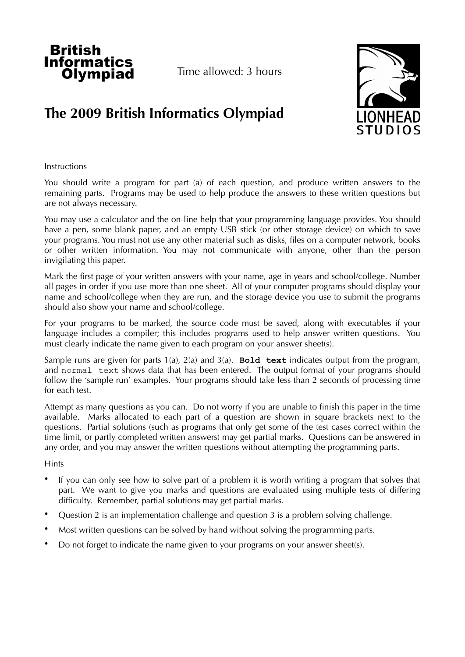

# **The 2009 British Informatics Olympiad**



# Instructions

You should write a program for part (a) of each question, and produce written answers to the remaining parts. Programs may be used to help produce the answers to these written questions but are not always necessary.

You may use a calculator and the on-line help that your programming language provides. You should have a pen, some blank paper, and an empty USB stick (or other storage device) on which to save your programs. You must not use any other material such as disks, files on a computer network, books or other written information. You may not communicate with anyone, other than the person invigilating this paper.

Mark the first page of your written answers with your name, age in years and school/college. Number all pages in order if you use more than one sheet. All of your computer programs should display your name and school/college when they are run, and the storage device you use to submit the programs should also show your name and school/college.

For your programs to be marked, the source code must be saved, along with executables if your language includes a compiler; this includes programs used to help answer written questions. You must clearly indicate the name given to each program on your answer sheet(s).

Sample runs are given for parts 1(a), 2(a) and 3(a). **Bold text** indicates output from the program, and normal text shows data that has been entered. The output format of your programs should follow the 'sample run' examples. Your programs should take less than 2 seconds of processing time for each test.

Attempt as many questions as you can. Do not worry if you are unable to finish this paper in the time available. Marks allocated to each part of a question are shown in square brackets next to the questions. Partial solutions (such as programs that only get some of the test cases correct within the time limit, or partly completed written answers) may get partial marks. Questions can be answered in any order, and you may answer the written questions without attempting the programming parts.

# **Hints**

- If you can only see how to solve part of a problem it is worth writing a program that solves that part. We want to give you marks and questions are evaluated using multiple tests of differing difficulty. Remember, partial solutions may get partial marks.
- Question 2 is an implementation challenge and question 3 is a problem solving challenge.
- Most written questions can be solved by hand without solving the programming parts.
- Do not forget to indicate the name given to your programs on your answer sheet(s).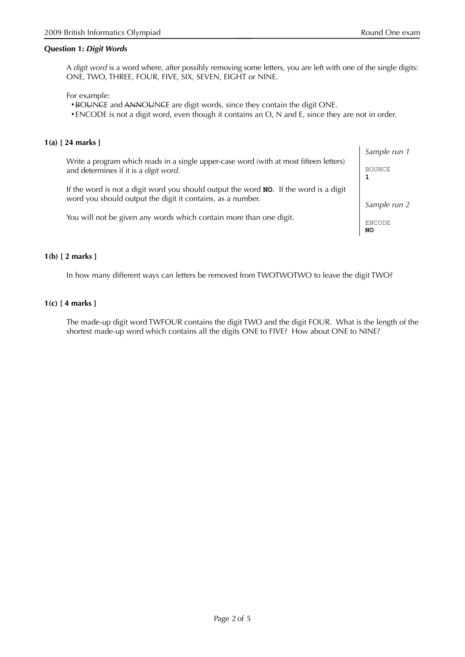## **Question 1:** *Digit Words*

A *digit word* is a word where, after possibly removing some letters, you are left with one of the single digits: ONE, TWO, THREE, FOUR, FIVE, SIX, SEVEN, EIGHT or NINE.

For example:

• BOUNCE and ANNOUNCE are digit words, since they contain the digit ONE.

• ENCODE is not a digit word, even though it contains an O, N and E, since they are not in order.

## **1(a) [ 24 marks ]**

Write a program which reads in a single upper-case word (with at most fifteen letters) and determines if it is a *digit word*.

If the word is not a digit word you should output the word **NO**. If the word is a digit word you should output the digit it contains, as a number.

You will not be given any words which contain more than one digit.

*Sample run 1* BOUNCE

*Sample run 2*

ENCODE **NO**

**1**

## **1(b) [ 2 marks ]**

In how many different ways can letters be removed from TWOTWOTWO to leave the digit TWO?

## **1(c) [ 4 marks ]**

The made-up digit word TWFOUR contains the digit TWO and the digit FOUR. What is the length of the shortest made-up word which contains all the digits ONE to FIVE? How about ONE to NINE?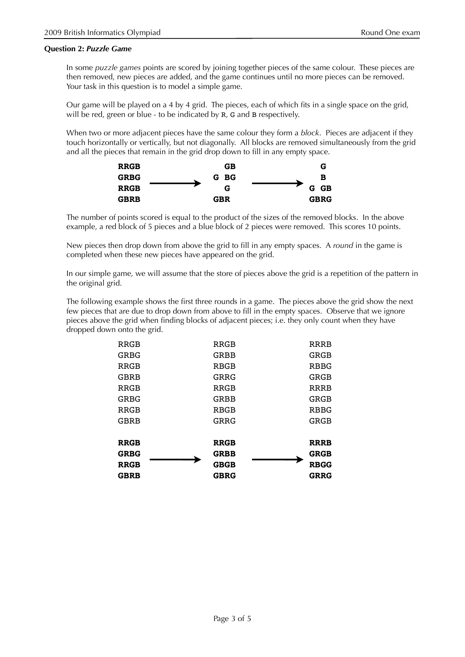## **Question 2:** *Puzzle Game*

In some *puzzle games* points are scored by joining together pieces of the same colour. These pieces are then removed, new pieces are added, and the game continues until no more pieces can be removed. Your task in this question is to model a simple game.

Our game will be played on a 4 by 4 grid. The pieces, each of which fits in a single space on the grid, will be red, green or blue - to be indicated by R, G and B respectively.

When two or more adjacent pieces have the same colour they form a *block*. Pieces are adjacent if they touch horizontally or vertically, but not diagonally. All blocks are removed simultaneously from the grid and all the pieces that remain in the grid drop down to fill in any empty space.



The number of points scored is equal to the product of the sizes of the removed blocks. In the above example, a red block of 5 pieces and a blue block of 2 pieces were removed. This scores 10 points.

New pieces then drop down from above the grid to fill in any empty spaces. A *round* in the game is completed when these new pieces have appeared on the grid.

In our simple game, we will assume that the store of pieces above the grid is a repetition of the pattern in the original grid.

The following example shows the first three rounds in a game. The pieces above the grid show the next few pieces that are due to drop down from above to fill in the empty spaces. Observe that we ignore pieces above the grid when finding blocks of adjacent pieces; i.e. they only count when they have dropped down onto the grid.

| <b>RRGB</b> | <b>RRGB</b> | <b>RRRB</b> |
|-------------|-------------|-------------|
| GRBG        | GRBB        | GRGB        |
| <b>RRGB</b> | <b>RBGB</b> | <b>RBBG</b> |
| GBRB        | GRRG        | GRGB        |
| <b>RRGB</b> | <b>RRGB</b> | <b>RRRB</b> |
| GRBG        | GRBB        | <b>GRGB</b> |
| <b>RRGB</b> | <b>RBGB</b> | <b>RBBG</b> |
| GBRB        | GRRG        | GRGB        |
|             |             |             |
| <b>RRGB</b> | <b>RRGB</b> | <b>RRRB</b> |
| <b>GRBG</b> | <b>GRBB</b> | <b>GRGB</b> |
| <b>RRGB</b> | <b>GBGB</b> | <b>RBGG</b> |
| <b>GBRB</b> | <b>GBRG</b> | <b>GRRG</b> |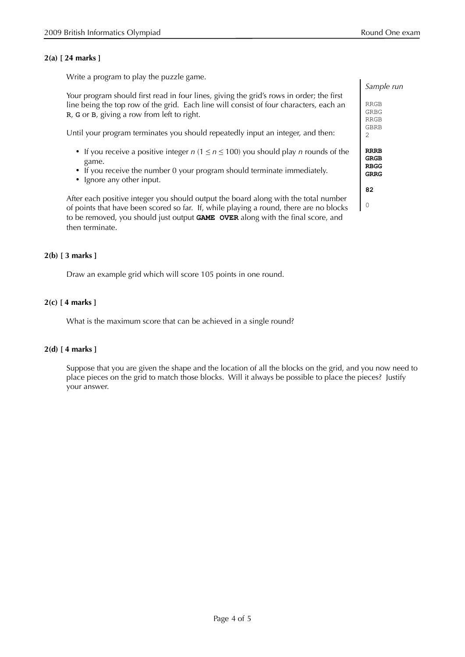## **2(a) [ 24 marks ]**

Write a program to play the puzzle game.

Your program should first read in four lines, giving the grid's rows in order; the first line being the top row of the grid. Each line will consist of four characters, each an R, G or B, giving a row from left to right.

Until your program terminates you should repeatedly input an integer, and then:

- If you receive a positive integer  $n (1 \le n \le 100)$  you should play  $n$  rounds of the game.
- If you receive the number 0 your program should terminate immediately.
- Ignore any other input.

After each positive integer you should output the board along with the total number of points that have been scored so far. If, while playing a round, there are no blocks to be removed, you should just output **GAME OVER** along with the final score, and then terminate.

## **2(b) [ 3 marks ]**

Draw an example grid which will score 105 points in one round.

## **2(c) [ 4 marks ]**

What is the maximum score that can be achieved in a single round?

## **2(d) [ 4 marks ]**

Suppose that you are given the shape and the location of all the blocks on the grid, and you now need to place pieces on the grid to match those blocks. Will it always be possible to place the pieces? Justify your answer.

| Sample run                               |
|------------------------------------------|
| RRGB<br>GRBG<br><b>RRGB</b><br>GBRB<br>2 |
| <b>RRRB</b><br>GRGB<br>RBGG<br>GRRG      |
| 82                                       |

0